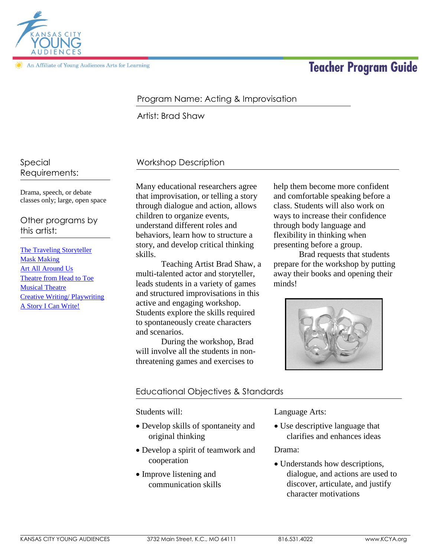

An Affiliate of Young Audiences Arts for Learning

# **Teacher Program Guide**

### Program Name: Acting & Improvisation

Artist: Brad Shaw

## Workshop Description

Drama, speech, or debate classes only; large, open space

Special

Requirements:

Other programs by this artist:

[The Traveling Storyteller](http://kcya.lazarusgroup.com/art_catalog.php?page=list&q=item&id=203) [Mask Making](http://kcya.lazarusgroup.com/art_catalog.php?page=list&q=item&id=290) [Art All Around Us](http://kcya.lazarusgroup.com/art_catalog.php?page=list&q=item&id=203) [Theatre from Head to Toe](http://kcya.lazarusgroup.com/art_catalog.php?page=list&q=item&id=347) [Musical Theatre](http://kcya.lazarusgroup.com/art_catalog.php?page=list&q=item&id=301) [Creative Writing/ Playwriting](http://kcya.lazarusgroup.com/art_catalog.php?page=list&q=item&id=235) [A Story I Can Write!](http://kcya.lazarusgroup.com/art_catalog.php?page=list&q=item&id=757)

Many educational researchers agree that improvisation, or telling a story through dialogue and action, allows children to organize events, understand different roles and behaviors, learn how to structure a story, and develop critical thinking skills.

Teaching Artist Brad Shaw, a multi-talented actor and storyteller, leads students in a variety of games and structured improvisations in this active and engaging workshop. Students explore the skills required to spontaneously create characters and scenarios.

During the workshop, Brad will involve all the students in nonthreatening games and exercises to

help them become more confident and comfortable speaking before a class. Students will also work on ways to increase their confidence through body language and flexibility in thinking when presenting before a group.

Brad requests that students prepare for the workshop by putting away their books and opening their minds!



#### Educational Objectives & Standards

Students will:

- Develop skills of spontaneity and original thinking
- Develop a spirit of teamwork and cooperation
- Improve listening and communication skills

Language Arts:

• Use descriptive language that clarifies and enhances ideas

Drama:

 Understands how descriptions, dialogue, and actions are used to discover, articulate, and justify character motivations